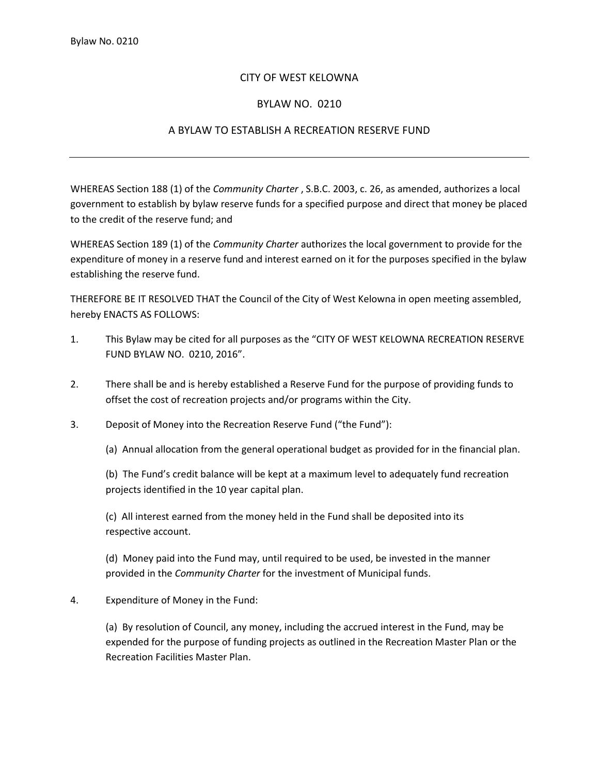## CITY OF WEST KELOWNA

## BYLAW NO. 0210

## A BYLAW TO ESTABLISH A RECREATION RESERVE FUND

WHEREAS Section 188 (1) of the *Community Charter* , S.B.C. 2003, c. 26, as amended, authorizes a local government to establish by bylaw reserve funds for a specified purpose and direct that money be placed to the credit of the reserve fund; and

WHEREAS Section 189 (1) of the *Community Charter* authorizes the local government to provide for the expenditure of money in a reserve fund and interest earned on it for the purposes specified in the bylaw establishing the reserve fund.

THEREFORE BE IT RESOLVED THAT the Council of the City of West Kelowna in open meeting assembled, hereby ENACTS AS FOLLOWS:

- 1. This Bylaw may be cited for all purposes as the "CITY OF WEST KELOWNA RECREATION RESERVE FUND BYLAW NO. 0210, 2016".
- 2. There shall be and is hereby established a Reserve Fund for the purpose of providing funds to offset the cost of recreation projects and/or programs within the City.
- 3. Deposit of Money into the Recreation Reserve Fund ("the Fund"):

(a) Annual allocation from the general operational budget as provided for in the financial plan.

(b) The Fund's credit balance will be kept at a maximum level to adequately fund recreation projects identified in the 10 year capital plan.

(c) All interest earned from the money held in the Fund shall be deposited into its respective account.

(d) Money paid into the Fund may, until required to be used, be invested in the manner provided in the *Community Charter* for the investment of Municipal funds.

4. Expenditure of Money in the Fund:

(a) By resolution of Council, any money, including the accrued interest in the Fund, may be expended for the purpose of funding projects as outlined in the Recreation Master Plan or the Recreation Facilities Master Plan.